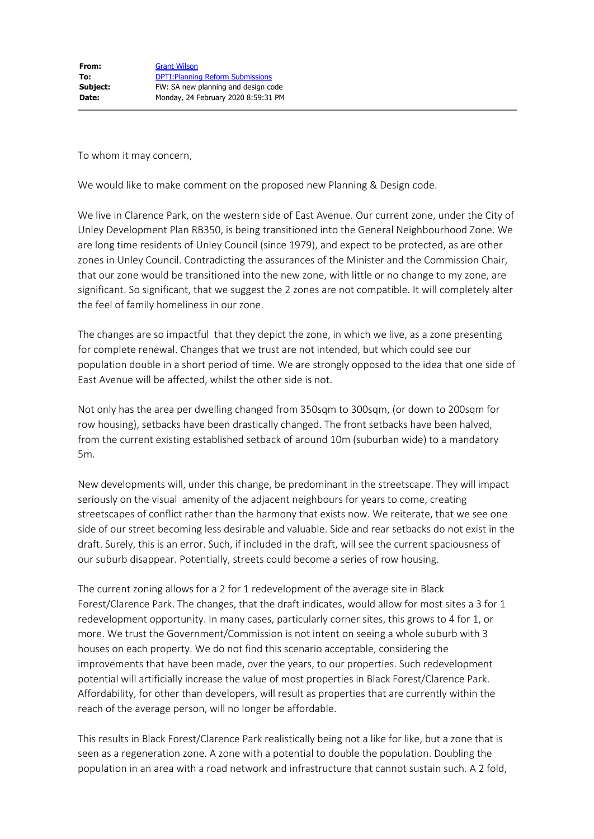To whom it may concern,

We would like to make comment on the proposed new Planning & Design code.

We live in Clarence Park, on the western side of East Avenue. Our current zone, under the City of Unley Development Plan RB350, is being transitioned into the General Neighbourhood Zone. We are long time residents of Unley Council (since 1979), and expect to be protected, as are other zones in Unley Council. Contradicting the assurances of the Minister and the Commission Chair, that our zone would be transitioned into the new zone, with little or no change to my zone, are significant. So significant, that we suggest the 2 zones are not compatible. It will completely alter the feel of family homeliness in our zone.

The changes are so impactful that they depict the zone, in which we live, as a zone presenting for complete renewal. Changes that we trust are not intended, but which could see our population double in a short period of time. We are strongly opposed to the idea that one side of East Avenue will be affected, whilst the other side is not.

Not only has the area per dwelling changed from 350sqm to 300sqm, (or down to 200sqm for row housing), setbacks have been drastically changed. The front setbacks have been halved, from the current existing established setback of around 10m (suburban wide) to a mandatory 5m.

New developments will, under this change, be predominant in the streetscape. They will impact seriously on the visual amenity of the adjacent neighbours for years to come, creating streetscapes of conflict rather than the harmony that exists now. We reiterate, that we see one side of our street becoming less desirable and valuable. Side and rear setbacks do not exist in the draft. Surely, this is an error. Such, if included in the draft, will see the current spaciousness of our suburb disappear. Potentially, streets could become a series of row housing.

The current zoning allows for a 2 for 1 redevelopment of the average site in Black Forest/Clarence Park. The changes, that the draft indicates, would allow for most sites a 3 for 1 redevelopment opportunity. In many cases, particularly corner sites, this grows to 4 for 1, or more. We trust the Government/Commission is not intent on seeing a whole suburb with 3 houses on each property. We do not find this scenario acceptable, considering the improvements that have been made, over the years, to our properties. Such redevelopment potential will artificially increase the value of most properties in Black Forest/Clarence Park. Affordability, for other than developers, will result as properties that are currently within the reach of the average person, will no longer be affordable.

This results in Black Forest/Clarence Park realistically being not a like for like, but a zone that is seen as a regeneration zone. A zone with a potential to double the population. Doubling the population in an area with a road network and infrastructure that cannot sustain such. A 2 fold,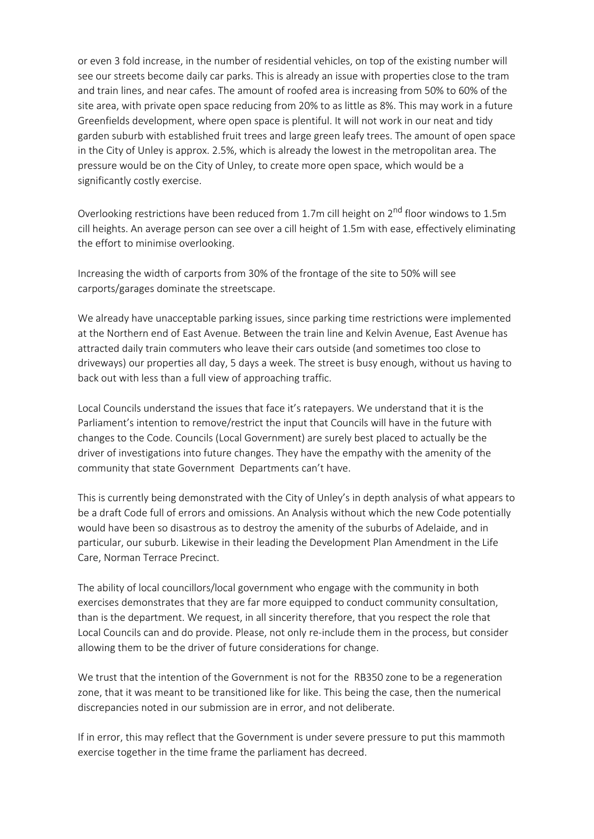or even 3 fold increase, in the number of residential vehicles, on top of the existing number will see our streets become daily car parks. This is already an issue with properties close to the tram and train lines, and near cafes. The amount of roofed area is increasing from 50% to 60% of the site area, with private open space reducing from 20% to as little as 8%. This may work in a future Greenfields development, where open space is plentiful. It will not work in our neat and tidy garden suburb with established fruit trees and large green leafy trees. The amount of open space in the City of Unley is approx. 2.5%, which is already the lowest in the metropolitan area. The pressure would be on the City of Unley, to create more open space, which would be a significantly costly exercise.

Overlooking restrictions have been reduced from 1.7m cill height on  $2^{nd}$  floor windows to 1.5m cill heights. An average person can see over a cill height of 1.5m with ease, effectively eliminating the effort to minimise overlooking.

Increasing the width of carports from 30% of the frontage of the site to 50% will see carports/garages dominate the streetscape.

We already have unacceptable parking issues, since parking time restrictions were implemented at the Northern end of East Avenue. Between the train line and Kelvin Avenue, East Avenue has attracted daily train commuters who leave their cars outside (and sometimes too close to driveways) our properties all day, 5 days a week. The street is busy enough, without us having to back out with less than a full view of approaching traffic.

Local Councils understand the issues that face it's ratepayers. We understand that it is the Parliament's intention to remove/restrict the input that Councils will have in the future with changes to the Code. Councils (Local Government) are surely best placed to actually be the driver of investigations into future changes. They have the empathy with the amenity of the community that state Government Departments can't have.

This is currently being demonstrated with the City of Unley's in depth analysis of what appears to be a draft Code full of errors and omissions. An Analysis without which the new Code potentially would have been so disastrous as to destroy the amenity of the suburbs of Adelaide, and in particular, our suburb. Likewise in their leading the Development Plan Amendment in the Life Care, Norman Terrace Precinct.

The ability of local councillors/local government who engage with the community in both exercises demonstrates that they are far more equipped to conduct community consultation, than is the department. We request, in all sincerity therefore, that you respect the role that Local Councils can and do provide. Please, not only re-include them in the process, but consider allowing them to be the driver of future considerations for change.

We trust that the intention of the Government is not for the RB350 zone to be a regeneration zone, that it was meant to be transitioned like for like. This being the case, then the numerical discrepancies noted in our submission are in error, and not deliberate.

If in error, this may reflect that the Government is under severe pressure to put this mammoth exercise together in the time frame the parliament has decreed.